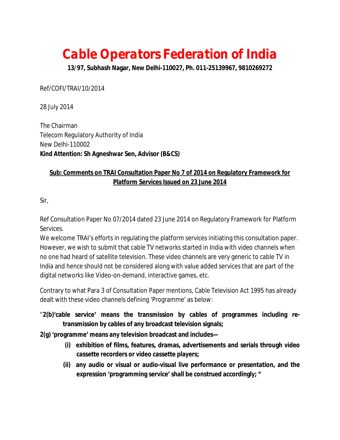# **Cable Operators Federation of India**

**13/97, Subhash Nagar, New Delhi-110027, Ph. 011-25139967, 9810269272**

Ref/COFI/TRAI/10/2014

28 July 2014

The Chairman Telecom Regulatory Authority of India New Delhi-110002 **Kind Attention: Sh Agneshwar Sen, Advisor (B&CS)**

## **Sub: Comments on TRAI Consultation Paper No 7 of 2014 on Regulatory Framework for Platform Services Issued on 23 June 2014**

Sir,

Ref Consultation Paper No 07/2014 dated 23 June 2014 on Regulatory Framework for Platform Services*.*

We welcome TRAI's efforts in regulating the platform services initiating this consultation paper. However, we wish to submit that cable TV networks started in India with video channels when no one had heard of satellite television. These video channels are very generic to cable TV in India and hence should not be considered along with value added services that are part of the digital networks like Video-on-demand, interactive games, etc.

Contrary to what Para 3 of Consultation Paper mentions, Cable Television Act 1995 has already dealt with these video channels defining 'Programme' as below:

"**2(b)'cable service' means the transmission by cables of programmes including retransmission by cables of any broadcast television signals;**

**2(g) 'programme' means any television broadcast and includes—**

- **(i) exhibition of films, features, dramas, advertisements and serials through video cassette recorders or video cassette players;**
- **(ii) any audio or visual or audio-visual live performance or presentation, and the expression 'programming service' shall be construed accordingly; "**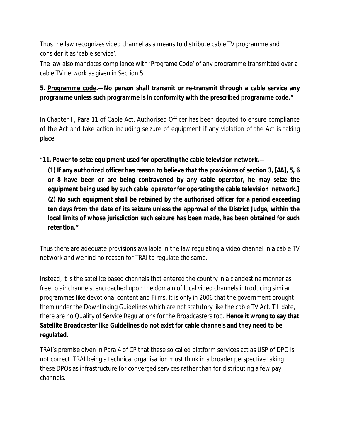Thus the law recognizes video channel as a means to distribute cable TV programme and consider it as 'cable service'.

The law also mandates compliance with 'Programe Code' of any programme transmitted over a cable TV network as given in Section 5.

## **5. Programme code.**—**No person shall transmit or re-transmit through a cable service any programme unless such programme is in conformity with the prescribed programme code."**

In Chapter II, Para 11 of Cable Act, Authorised Officer has been deputed to ensure compliance of the Act and take action including seizure of equipment if any violation of the Act is taking place.

"**11. Power to seize equipment used for operating the cable television network.—**

**(1) If any authorized officer has reason to believe that the provisions of section 3, [4A], 5, 6 or 8 have been or are being contravened by any cable operator, he may seize the equipment being used by such cable operator for operating the cable television network.] (2) No such equipment shall be retained by the authorised officer for a period exceeding ten days from the date of its seizure unless the approval of the District Judge, within the local limits of whose jurisdiction such seizure has been made, has been obtained for such retention."**

Thus there are adequate provisions available in the law regulating a video channel in a cable TV network and we find no reason for TRAI to regulate the same.

Instead, it is the satellite based channels that entered the country in a clandestine manner as free to air channels, encroached upon the domain of local video channels introducing similar programmes like devotional content and Films. It is only in 2006 that the government brought them under the Downlinking Guidelines which are not statutory like the cable TV Act. Till date, there are no Quality of Service Regulations for the Broadcasters too. **Hence it wrong to say that Satellite Broadcaster like Guidelines do not exist for cable channels and they need to be regulated.**

TRAI's premise given in Para 4 of CP that these so called platform services act as USP of DPO is not correct. TRAI being a technical organisation must think in a broader perspective taking these DPOs as infrastructure for converged services rather than for distributing a few pay channels.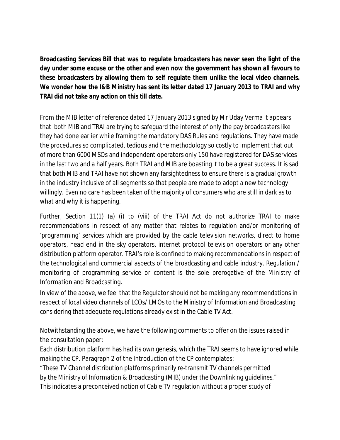**Broadcasting Services Bill that was to regulate broadcasters has never seen the light of the day under some excuse or the other and even now the government has shown all favours to these broadcasters by allowing them to self regulate them unlike the local video channels. We wonder how the I&B Ministry has sent its letter dated 17 January 2013 to TRAI and why TRAI did not take any action on this till date.**

From the MIB letter of reference dated 17 January 2013 signed by Mr Uday Verma it appears that both MIB and TRAI are trying to safeguard the interest of only the pay broadcasters like they had done earlier while framing the mandatory DAS Rules and regulations. They have made the procedures so complicated, tedious and the methodology so costly to implement that out of more than 6000 MSOs and independent operators only 150 have registered for DAS services in the last two and a half years. Both TRAI and MIB are boasting it to be a great success. It is sad that both MIB and TRAI have not shown any farsightedness to ensure there is a gradual growth in the industry inclusive of all segments so that people are made to adopt a new technology willingly. Even no care has been taken of the majority of consumers who are still in dark as to what and why it is happening.

Further, Section 11(1) (a) (i) to (viii) of the TRAI Act do not authorize TRAI to make recommendations in respect of any matter that relates to regulation and/or monitoring of 'programming' services which are provided by the cable television networks, direct to home operators, head end in the sky operators, internet protocol television operators or any other distribution platform operator. TRAI's role is confined to making recommendations in respect of the technological and commercial aspects of the broadcasting and cable industry. Regulation / monitoring of programming service or content is the sole prerogative of the Ministry of Information and Broadcasting.

In view of the above, we feel that the Regulator should not be making any recommendations in respect of local video channels of LCOs/ LMOs to the Ministry of Information and Broadcasting considering that adequate regulations already exist in the Cable TV Act.

Notwithstanding the above, we have the following comments to offer on the issues raised in the consultation paper:

Each distribution platform has had its own genesis, which the TRAI seems to have ignored while making the CP. Paragraph 2 of the Introduction of the CP contemplates:

*"These TV Channel distribution platforms primarily re-transmit TV channels permitted by the Ministry of Information & Broadcasting (MIB) under the Downlinking guidelines."* This indicates a preconceived notion of Cable TV regulation without a proper study of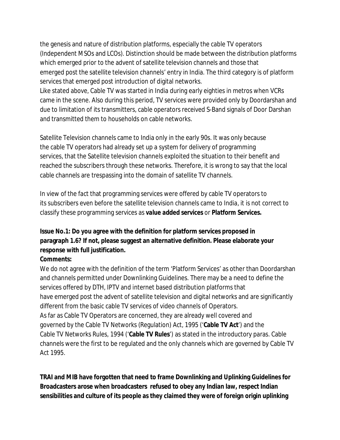the genesis and nature of distribution platforms, especially the cable TV operators (Independent MSOs and LCOs). Distinction should be made between the distribution platforms which emerged prior to the advent of satellite television channels and those that emerged post the satellite television channels' entry in India. The third category is of platform services that emerged post introduction of digital networks.

Like stated above, Cable TV was started in India during early eighties in metros when VCRs came in the scene. Also during this period, TV services were provided only by Doordarshan and due to limitation of its transmitters, cable operators received S-Band signals of Door Darshan and transmitted them to households on cable networks.

Satellite Television channels came to India only in the early 90s. It was only because the cable TV operators had already set up a system for delivery of programming services, that the Satellite television channels exploited the situation to their benefit and reached the subscribers through these networks. Therefore, it is wrong to say that the local cable channels are trespassing into the domain of satellite TV channels.

In view of the fact that programming services were offered by cable TV operators to its subscribers even before the satellite television channels came to India, it is not correct to classify these programming services as *value added services* or *Platform Services.*

## **Issue No.1: Do you agree with the definition for platform services proposed in paragraph 1.6? If not, please suggest an alternative definition. Please elaborate your response with full justification.**

#### **Comments:**

We do not agree with the definition of the term 'Platform Services' as other than Doordarshan and channels permitted under Downlinking Guidelines. There may be a need to define the services offered by DTH, IPTV and internet based distribution platforms that have emerged post the advent of satellite television and digital networks and are significantly different from the basic cable TV services of video channels of Operators. As far as Cable TV Operators are concerned, they are already well covered and governed by the Cable TV Networks (Regulation) Act, 1995 ('**Cable TV Act**') and the Cable TV Networks Rules, 1994 ('**Cable TV Rules**') as stated in the introductory paras. Cable channels were the first to be regulated and the only channels which are governed by Cable TV Act 1995.

**TRAI and MIB have forgotten that need to frame Downlinking and Uplinking Guidelines for Broadcasters arose when broadcasters refused to obey any Indian law, respect Indian sensibilities and culture of its people as they claimed they were of foreign origin uplinking**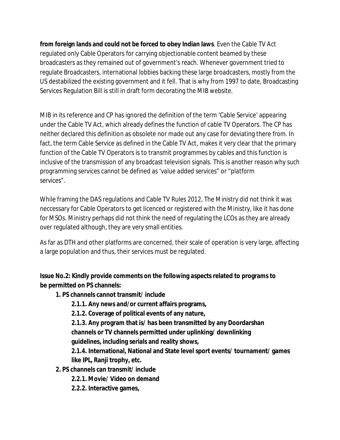**from foreign lands and could not be forced to obey Indian laws**. Even the Cable TV Act regulated only Cable Operators for carrying objectionable content beamed by these broadcasters as they remained out of government's reach. Whenever government tried to regulate Broadcasters, international lobbies backing these large broadcasters, mostly from the US destabilized the existing government and it fell. That is why from 1997 to date, Broadcasting Services Regulation Bill is still in draft form decorating the MIB website.

MIB in its reference and CP has ignored the definition of the term 'Cable Service' appearing under the Cable TV Act, which already defines the function of cable TV Operators. The CP has neither declared this definition as obsolete nor made out any case for deviating there from. In fact, the term Cable Service as defined in the Cable TV Act, makes it very clear that the primary function of the Cable TV Operators is to transmit programmes by cables and this function *is inclusive of* the transmission of any broadcast television signals. This is another reason why such programming services cannot be defined as *'value added services"* or *"platform services"*.

While framing the DAS regulations and Cable TV Rules 2012, The Ministry did not think it was neccessary for Cable Operators to get licenced or registered with the Ministry, like it has done for MSOs. Ministry perhaps did not think the need of regulating the LCOs as they are already over regulated although, they are very small entities.

As far as DTH and other platforms are concerned, their scale of operation is very large, affecting a large population and thus, their services must be regulated.

**Issue No.2: Kindly provide comments on the following aspects related to programs to be permitted on PS channels:**

**1. PS channels cannot transmit/ include**

**2.1.1. Any news and/or current affairs programs,**

**2.1.2. Coverage of political events of any nature,**

**2.1.3. Any program that is/ has been transmitted by any Doordarshan channels or TV channels permitted under uplinking/ downlinking guidelines, including serials and reality shows,**

**2.1.4. International, National and State level sport events/ tournament/ games like IPL, Ranji trophy, etc.**

**2. PS channels can transmit/ include**

**2.2.1. Movie/ Video on demand**

**2.2.2. Interactive games,**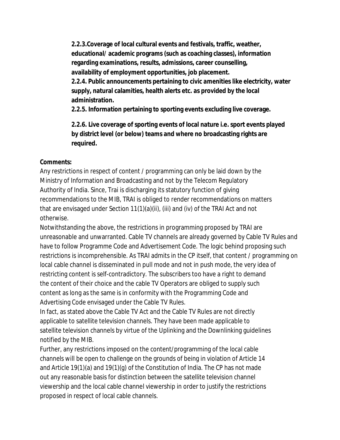**2.2.3.Coverage of local cultural events and festivals, traffic, weather, educational/ academic programs (such as coaching classes), information regarding examinations, results, admissions, career counselling, availability of employment opportunities, job placement. 2.2.4. Public announcements pertaining to civic amenities like electricity, water supply, natural calamities, health alerts etc. as provided by the local administration.**

**2.2.5. Information pertaining to sporting events excluding live coverage.**

**2.2.6. Live coverage of sporting events of local nature i.e. sport events played by district level (or below) teams and where no broadcasting rights are required.**

#### **Comments:**

Any restrictions in respect of content / programming can only be laid down by the Ministry of Information and Broadcasting and not by the Telecom Regulatory Authority of India. Since, Trai is discharging its statutory function of giving recommendations to the MIB, TRAI is obliged to render recommendations on matters that are envisaged under Section 11(1)(a)(ii), (iii) and (iv) of the TRAI Act and not otherwise.

Notwithstanding the above, the restrictions in programming proposed by TRAI are unreasonable and unwarranted. Cable TV channels are already governed by Cable TV Rules and have to follow Programme Code and Advertisement Code. The logic behind proposing such restrictions is incomprehensible. As TRAI admits in the CP itself, that content / programming on local cable channel is disseminated in pull mode and not in push mode, the very idea of restricting content is self-contradictory. The subscribers too have a right to demand the content of their choice and the cable TV Operators are obliged to supply such content as long as the same is in conformity with the Programming Code and Advertising Code envisaged under the Cable TV Rules.

In fact, as stated above the Cable TV Act and the Cable TV Rules are not directly applicable to satellite television channels. They have been made applicable to satellite television channels by virtue of the Uplinking and the Downlinking guidelines notified by the MIB.

Further, any restrictions imposed on the content/programming of the local cable channels will be open to challenge on the grounds of being in violation of Article 14 and Article 19(1)(a) and 19(1)(g) of the Constitution of India. The CP has not made out any reasonable basis for distinction between the satellite television channel viewership and the local cable channel viewership in order to justify the restrictions proposed in respect of local cable channels.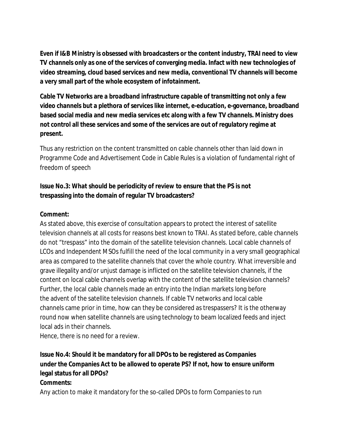**Even if I&B Ministry is obsessed with broadcasters or the content industry, TRAI need to view TV channels only as one of the services of converging media. Infact with new technologies of video streaming, cloud based services and new media, conventional TV channels will become a very small part of the whole ecosystem of infotainment.**

**Cable TV Networks are a broadband infrastructure capable of transmitting not only a few video channels but a plethora of services like internet, e-education, e-governance, broadband based social media and new media services etc along with a few TV channels. Ministry does not control all these services and some of the services are out of regulatory regime at present.**

Thus any restriction on the content transmitted on cable channels other than laid down in Programme Code and Advertisement Code in Cable Rules is a violation of fundamental right of freedom of speech

## **Issue No.3: What should be periodicity of review to ensure that the PS is not trespassing into the domain of regular TV broadcasters?**

#### **Comment:**

As stated above, this exercise of consultation appears to protect the interest of satellite television channels at all costs for reasons best known to TRAI. As stated before, cable channels do not "trespass" into the domain of the satellite television channels. Local cable channels of LCOs and Independent MSOs fulfill the need of the local community in a very small geographical area as compared to the satellite channels that cover the whole country. What irreversible and grave illegality and/or unjust damage is inflicted on the satellite television channels, if the content on local cable channels overlap with the content of the satellite television channels? Further, the local cable channels made an entry into the Indian markets long before the advent of the satellite television channels. If cable TV networks and local cable channels came prior in time, how can they be considered as trespassers? It is the otherway round now when satellite channels are using technology to beam localized feeds and inject local ads in their channels.

Hence, there is no need for a review.

## **Issue No.4: Should it be mandatory for all DPOs to be registered as Companies under the Companies Act to be allowed to operate PS? If not, how to ensure uniform legal status for all DPOs?**

#### **Comments:**

Any action to make it mandatory for the so-called DPOs to form Companies to run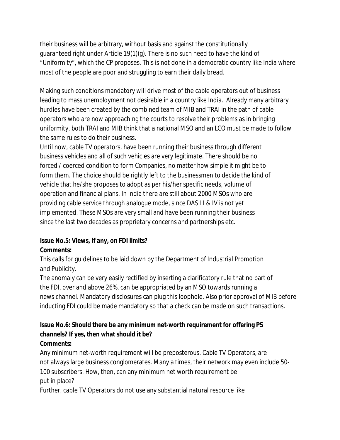their business will be arbitrary, without basis and against the constitutionally guaranteed right under Article 19(1)(g). There is no such need to have the kind of "Uniformity", which the CP proposes. This is not done in a democratic country like India where most of the people are poor and struggling to earn their daily bread.

Making such conditions mandatory will drive most of the cable operators out of business leading to mass unemployment not desirable in a country like India. Already many arbitrary hurdles have been created by the combined team of MIB and TRAI in the path of cable operators who are now approaching the courts to resolve their problems as in bringing uniformity, both TRAI and MIB think that a national MSO and an LCO must be made to follow the same rules to do their business.

Until now, cable TV operators, have been running their business through different business vehicles and all of such vehicles are very legitimate. There should be no forced / coerced condition to form Companies, no matter how simple it might be to form them. The choice should be rightly left to the businessmen to decide the kind of vehicle that he/she proposes to adopt as per his/her specific needs, volume of operation and financial plans. In India there are still about 2000 MSOs who are providing cable service through analogue mode, since DAS III & IV is not yet implemented. These MSOs are very small and have been running their business since the last two decades as proprietary concerns and partnerships etc.

## **Issue No.5: Views, if any, on FDI limits? Comments:**

This calls for guidelines to be laid down by the Department of Industrial Promotion and Publicity.

The anomaly can be very easily rectified by inserting a clarificatory rule that no part of the FDI, over and above 26%, can be appropriated by an MSO towards running a news channel. Mandatory disclosures can plug this loophole. Also prior approval of MIB before inducting FDI could be made mandatory so that a check can be made on such transactions.

#### **Issue No.6: Should there be any minimum net-worth requirement for offering PS channels? If yes, then what should it be? Comments:**

Any minimum net-worth requirement will be preposterous. Cable TV Operators, are not always large business conglomerates. Many a times, their network may even include 50- 100 subscribers. How, then, can any minimum net worth requirement be put in place?

Further, cable TV Operators do not use any substantial natural resource like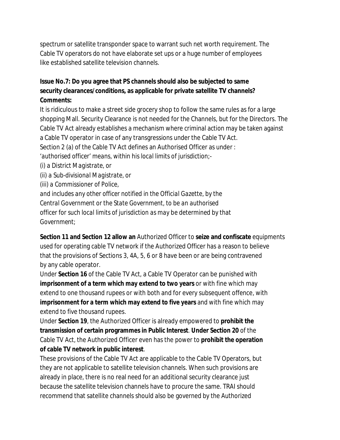spectrum or satellite transponder space to warrant such net worth requirement. The Cable TV operators do not have elaborate set ups or a huge number of employees like established satellite television channels.

## **Issue No.7: Do you agree that PS channels should also be subjected to same security clearances/conditions, as applicable for private satellite TV channels? Comments:**

It is ridiculous to make a street side grocery shop to follow the same rules as for a large shopping Mall. Security Clearance is not needed for the Channels, but for the Directors. The Cable TV Act already establishes a mechanism where criminal action may be taken against a Cable TV operator in case of any transgressions under the Cable TV Act. Section 2 (a) of the Cable TV Act defines an Authorised Officer as under : *'authorised officer' means, within his local limits of jurisdiction;- (i) a District Magistrate, or (ii) a Sub-divisional Magistrate, or (iii) a Commissioner of Police, and includes any other officer notified in the Official Gazette, by the Central Government or the State Government, to be an authorised officer for such local limits of jurisdiction as may be determined by that*

*Government;*

**Section 11 and Section 12 allow an** Authorized Officer to **seize and confiscate** equipments used for operating cable TV network if the Authorized Officer has a reason to believe that the provisions of Sections 3, 4A, 5, 6 or 8 have been or are being contravened by any cable operator.

Under **Section 16** of the Cable TV Act, a Cable TV Operator can be punished with **imprisonment of a term which may extend to two years** or with fine which may extend to one thousand rupees or with both and for every subsequent offence, with **imprisonment for a term which may extend to five years** and with fine which may extend to five thousand rupees.

Under **Section 19**, the Authorized Officer is already empowered to **prohibit the transmission of certain programmes in Public Interest**. **Under Section 20** of the Cable TV Act, the Authorized Officer even has the power to **prohibit the operation of cable TV network in public interest**.

These provisions of the Cable TV Act are applicable to the Cable TV Operators, but they are not applicable to satellite television channels. When such provisions are already in place, there is no real need for an additional security clearance just because the satellite television channels have to procure the same. TRAI should recommend that satellite channels should also be governed by the Authorized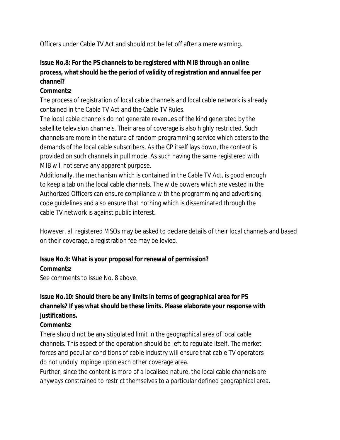Officers under Cable TV Act and should not be let off after a mere warning.

## **Issue No.8: For the PS channels to be registered with MIB through an online process, what should be the period of validity of registration and annual fee per channel?**

#### **Comments:**

The process of registration of local cable channels and local cable network is already contained in the Cable TV Act and the Cable TV Rules.

The local cable channels do not generate revenues of the kind generated by the satellite television channels. Their area of coverage is also highly restricted. Such channels are more in the nature of random programming service which caters to the demands of the local cable subscribers. As the CP itself lays down, the content is provided on such channels in pull mode. As such having the same registered with MIB will not serve any apparent purpose.

Additionally, the mechanism which is contained in the Cable TV Act, is good enough to keep a tab on the local cable channels. The wide powers which are vested in the Authorized Officers can ensure compliance with the programming and advertising code guidelines and also ensure that nothing which is disseminated through the cable TV network is against public interest.

However, all registered MSOs may be asked to declare details of their local channels and based on their coverage, a registration fee may be levied.

#### **Issue No.9: What is your proposal for renewal of permission? Comments:**

See comments to Issue No. 8 above.

## **Issue No.10: Should there be any limits in terms of geographical area for PS channels? If yes what should be these limits. Please elaborate your response with justifications.**

#### **Comments:**

There should not be any stipulated limit in the geographical area of local cable channels. This aspect of the operation should be left to regulate itself. The market forces and peculiar conditions of cable industry will ensure that cable TV operators do not unduly impinge upon each other coverage area.

Further, since the content is more of a localised nature, the local cable channels are anyways constrained to restrict themselves to a particular defined geographical area.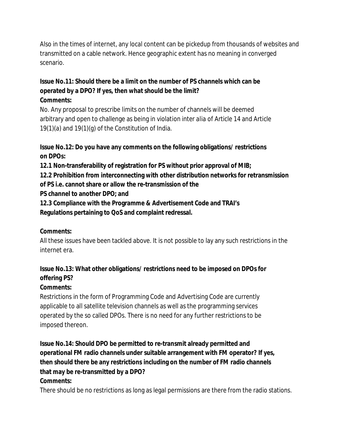Also in the times of internet, any local content can be pickedup from thousands of websites and transmitted on a cable network. Hence geographic extent has no meaning in converged scenario.

#### **Issue No.11: Should there be a limit on the number of PS channels which can be operated by a DPO? If yes, then what should be the limit? Comments:**

No. Any proposal to prescribe limits on the number of channels will be deemed arbitrary and open to challenge as being in violation *inter alia* of Article 14 and Article 19(1)(a) and 19(1)(g) of the Constitution of India.

## **Issue No.12: Do you have any comments on the following obligations/ restrictions on DPOs:**

**12.1 Non-transferability of registration for PS without prior approval of MIB;**

**12.2 Prohibition from interconnecting with other distribution networks for retransmission of PS i.e. cannot share or allow the re-transmission of the**

**PS channel to another DPO; and**

**12.3 Compliance with the Programme & Advertisement Code and TRAI's**

**Regulations pertaining to QoS and complaint redressal.**

## **Comments:**

All these issues have been tackled above. It is not possible to lay any such restrictions in the internet era.

## **Issue No.13: What other obligations/ restrictions need to be imposed on DPOs for offering PS?**

## **Comments:**

Restrictions in the form of Programming Code and Advertising Code are currently applicable to all satellite television channels as well as the programming services operated by the so called DPOs. There is no need for any further restrictions to be imposed thereon.

**Issue No.14: Should DPO be permitted to re-transmit already permitted and operational FM radio channels under suitable arrangement with FM operator? If yes, then should there be any restrictions including on the number of FM radio channels that may be re-transmitted by a DPO? Comments:**

There should be no restrictions as long as legal permissions are there from the radio stations.